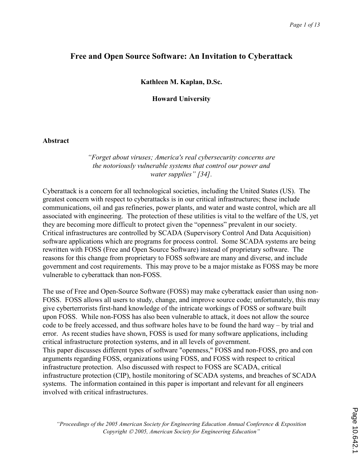# Free and Open Source Software: An Invitation to Cyberattack

Kathleen M. Kaplan, D.Sc.

Howard University

#### Abstract

#### "Forget about viruses; America's real cybersecurity concerns are the notoriously vulnerable systems that control our power and water supplies" [34].

Cyberattack is a concern for all technological societies, including the United States (US). The greatest concern with respect to cyberattacks is in our critical infrastructures; these include communications, oil and gas refineries, power plants, and water and waste control, which are all associated with engineering. The protection of these utilities is vital to the welfare of the US, yet they are becoming more difficult to protect given the "openness" prevalent in our society. Critical infrastructures are controlled by SCADA (Supervisory Control And Data Acquisition) software applications which are programs for process control. Some SCADA systems are being rewritten with FOSS (Free and Open Source Software) instead of proprietary software. The reasons for this change from proprietary to FOSS software are many and diverse, and include government and cost requirements. This may prove to be a major mistake as FOSS may be more vulnerable to cyberattack than non-FOSS.

The use of Free and Open-Source Software (FOSS) may make cyberattack easier than using non-FOSS. FOSS allows all users to study, change, and improve source code; unfortunately, this may give cyberterrorists first-hand knowledge of the intricate workings of FOSS or software built upon FOSS. While non-FOSS has also been vulnerable to attack, it does not allow the source code to be freely accessed, and thus software holes have to be found the hard way – by trial and error. As recent studies have shown, FOSS is used for many software applications, including critical infrastructure protection systems, and in all levels of government. This paper discusses different types of software "openness," FOSS and non-FOSS, pro and con arguments regarding FOSS, organizations using FOSS, and FOSS with respect to critical infrastructure protection. Also discussed with respect to FOSS are SCADA, critical infrastructure protection (CIP), hostile monitoring of SCADA systems, and breaches of SCADA systems. The information contained in this paper is important and relevant for all engineers involved with critical infrastructures.

"Proceedings of the 2005 American Society for Engineering Education Annual Conference & Exposition Copyright  $\odot$  2005, American Society for Engineering Education"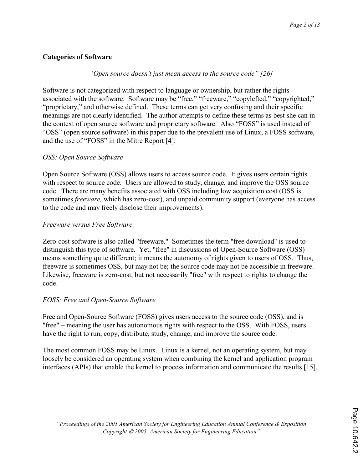# Categories of Software

# "Open source doesn't just mean access to the source code" [26]

Software is not categorized with respect to language or ownership, but rather the rights associated with the software. Software may be "free," "freeware," "copylefted," "copyrighted," "proprietary," and otherwise defined. These terms can get very confusing and their specific meanings are not clearly identified. The author attempts to define these terms as best she can in the context of open source software and proprietary software. Also "FOSS" is used instead of "OSS" (open source software) in this paper due to the prevalent use of Linux, a FOSS software, and the use of "FOSS" in the Mitre Report [4].

# OSS: Open Source Software

Open Source Software (OSS) allows users to access source code. It gives users certain rights with respect to source code. Users are allowed to study, change, and improve the OSS source code. There are many benefits associated with OSS including low acquisition cost (OSS is sometimes *freeware*, which has zero-cost), and unpaid community support (everyone has access to the code and may freely disclose their improvements).

# Freeware versus Free Software

Zero-cost software is also called "freeware." Sometimes the term "free download" is used to distinguish this type of software. Yet, "free" in discussions of Open-Source Software (OSS) means something quite different; it means the autonomy of rights given to users of OSS. Thus, freeware is sometimes OSS, but may not be; the source code may not be accessible in freeware. Likewise, freeware is zero-cost, but not necessarily "free" with respect to rights to change the code.

# FOSS: Free and Open-Source Software

Free and Open-Source Software (FOSS) gives users access to the source code (OSS), and is "free" – meaning the user has autonomous rights with respect to the OSS. With FOSS, users have the right to run, copy, distribute, study, change, and improve the source code.

The most common FOSS may be Linux. Linux is a kernel, not an operating system, but may loosely be considered an operating system when combining the kernel and application program interfaces (APIs) that enable the kernel to process information and communicate the results [15].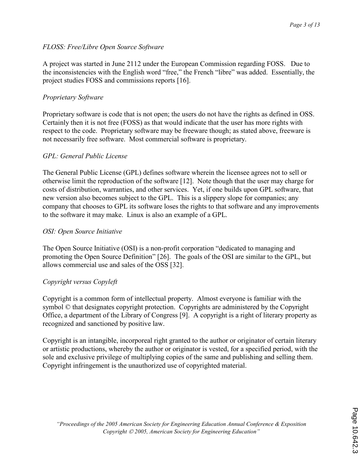# FLOSS: Free/Libre Open Source Software

A project was started in June 2112 under the European Commission regarding FOSS. Due to the inconsistencies with the English word "free," the French "libre" was added. Essentially, the project studies FOSS and commissions reports [16].

# Proprietary Software

Proprietary software is code that is not open; the users do not have the rights as defined in OSS. Certainly then it is not free (FOSS) as that would indicate that the user has more rights with respect to the code. Proprietary software may be freeware though; as stated above, freeware is not necessarily free software. Most commercial software is proprietary.

# GPL: General Public License

The General Public License (GPL) defines software wherein the licensee agrees not to sell or otherwise limit the reproduction of the software [12]. Note though that the user may charge for costs of distribution, warranties, and other services. Yet, if one builds upon GPL software, that new version also becomes subject to the GPL. This is a slippery slope for companies; any company that chooses to GPL its software loses the rights to that software and any improvements to the software it may make. Linux is also an example of a GPL.

# OSI: Open Source Initiative

The Open Source Initiative (OSI) is a non-profit corporation "dedicated to managing and promoting the Open Source Definition" [26]. The goals of the OSI are similar to the GPL, but allows commercial use and sales of the OSS [32].

# Copyright versus Copyleft

Copyright is a common form of intellectual property. Almost everyone is familiar with the symbol  $\odot$  that designates copyright protection. Copyrights are administered by the Copyright Office, a department of the Library of Congress [9]. A copyright is a right of literary property as recognized and sanctioned by positive law.

Copyright is an intangible, incorporeal right granted to the author or originator of certain literary or artistic productions, whereby the author or originator is vested, for a specified period, with the sole and exclusive privilege of multiplying copies of the same and publishing and selling them. Copyright infringement is the unauthorized use of copyrighted material.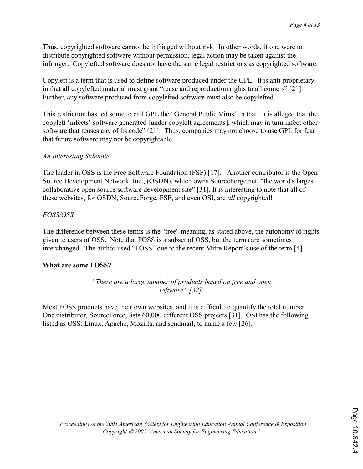Thus, copyrighted software cannot be infringed without risk. In other words, if one were to distribute copyrighted software without permission, legal action may be taken against the infringer. Copylefted software does not have the same legal restrictions as copyrighted software.

Copyleft is a term that is used to define software produced under the GPL. It is anti-proprietary in that all copylefted material must grant "reuse and reproduction rights to all comers" [21]. Further, any software produced from copylefted software must also be copylefted.

This restriction has led some to call GPL the "General Public Virus" in that "it is alleged that the copyleft 'infects' software generated [under copyleft agreements], which may in turn infect other software that reuses any of its code" [21]. Thus, companies may not choose to use GPL for fear that future software may not be copyrightable.

#### An Interesting Sidenote

The leader in OSS is the Free Software Foundation (FSF) [17]. Another contributor is the Open Source Development Network, Inc., (OSDN), which owns SourceForge.net, "the world's largest collaborative open source software development site" [31]. It is interesting to note that all of these websites, for OSDN, SourceForge, FSF, and even OSI, are all copyrighted!

#### FOSS/OSS

The difference between these terms is the "free" meaning, as stated above, the autonomy of rights given to users of OSS. Note that FOSS is a subset of OSS, but the terms are sometimes interchanged. The author used "FOSS" due to the recent Mitre Report's use of the term [4].

#### What are some FOSS?

"There are a large number of products based on free and open software" [32].

Most FOSS products have their own websites, and it is difficult to quantify the total number. One distributor, SourceForce, lists 60,000 different OSS projects [31]. OSI has the following listed as OSS: Linux, Apache, Mozilla, and sendmail, to name a few [26].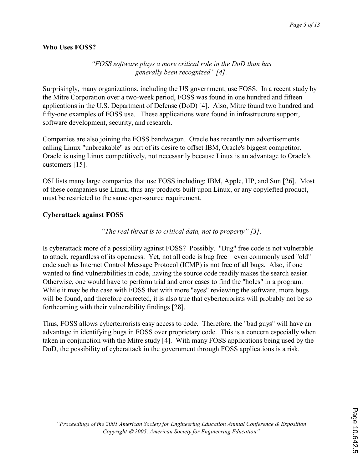### Who Uses FOSS?

### "FOSS software plays a more critical role in the DoD than has generally been recognized" [4].

Surprisingly, many organizations, including the US government, use FOSS. In a recent study by the Mitre Corporation over a two-week period, FOSS was found in one hundred and fifteen applications in the U.S. Department of Defense (DoD) [4]. Also, Mitre found two hundred and fifty-one examples of FOSS use. These applications were found in infrastructure support, software development, security, and research.

Companies are also joining the FOSS bandwagon. Oracle has recently run advertisements calling Linux "unbreakable" as part of its desire to offset IBM, Oracle's biggest competitor. Oracle is using Linux competitively, not necessarily because Linux is an advantage to Oracle's customers [15].

OSI lists many large companies that use FOSS including: IBM, Apple, HP, and Sun [26]. Most of these companies use Linux; thus any products built upon Linux, or any copylefted product, must be restricted to the same open-source requirement.

# Cyberattack against FOSS

"The real threat is to critical data, not to property" [3].

Is cyberattack more of a possibility against FOSS? Possibly. "Bug" free code is not vulnerable to attack, regardless of its openness. Yet, not all code is bug free – even commonly used "old" code such as Internet Control Message Protocol (ICMP) is not free of all bugs. Also, if one wanted to find vulnerabilities in code, having the source code readily makes the search easier. Otherwise, one would have to perform trial and error cases to find the "holes" in a program. While it may be the case with FOSS that with more "eyes" reviewing the software, more bugs will be found, and therefore corrected, it is also true that cyberterrorists will probably not be so forthcoming with their vulnerability findings [28].

Thus, FOSS allows cyberterrorists easy access to code. Therefore, the "bad guys" will have an advantage in identifying bugs in FOSS over proprietary code. This is a concern especially when taken in conjunction with the Mitre study [4]. With many FOSS applications being used by the DoD, the possibility of cyberattack in the government through FOSS applications is a risk.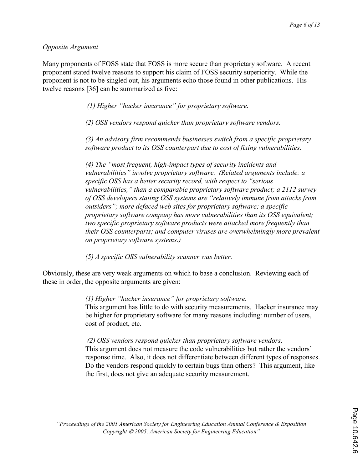#### Opposite Argument

Many proponents of FOSS state that FOSS is more secure than proprietary software. A recent proponent stated twelve reasons to support his claim of FOSS security superiority. While the proponent is not to be singled out, his arguments echo those found in other publications. His twelve reasons [36] can be summarized as five:

(1) Higher "hacker insurance" for proprietary software.

(2) OSS vendors respond quicker than proprietary software vendors.

(3) An advisory firm recommends businesses switch from a specific proprietary software product to its OSS counterpart due to cost of fixing vulnerabilities.

(4) The "most frequent, high-impact types of security incidents and vulnerabilities" involve proprietary software. (Related arguments include: a specific OSS has a better security record, with respect to "serious vulnerabilities," than a comparable proprietary software product; a 2112 survey of OSS developers stating OSS systems are "relatively immune from attacks from outsiders"; more defaced web sites for proprietary software; a specific proprietary software company has more vulnerabilities than its OSS equivalent; two specific proprietary software products were attacked more frequently than their OSS counterparts; and computer viruses are overwhelmingly more prevalent on proprietary software systems.)

(5) A specific OSS vulnerability scanner was better.

Obviously, these are very weak arguments on which to base a conclusion. Reviewing each of these in order, the opposite arguments are given:

(1) Higher "hacker insurance" for proprietary software.

This argument has little to do with security measurements. Hacker insurance may be higher for proprietary software for many reasons including: number of users, cost of product, etc.

 (2) OSS vendors respond quicker than proprietary software vendors. This argument does not measure the code vulnerabilities but rather the vendors' response time. Also, it does not differentiate between different types of responses. Do the vendors respond quickly to certain bugs than others? This argument, like the first, does not give an adequate security measurement.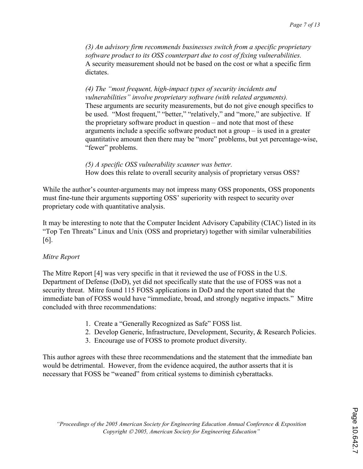(3) An advisory firm recommends businesses switch from a specific proprietary software product to its OSS counterpart due to cost of fixing vulnerabilities. A security measurement should not be based on the cost or what a specific firm dictates.

(4) The "most frequent, high-impact types of security incidents and vulnerabilities" involve proprietary software (with related arguments). These arguments are security measurements, but do not give enough specifics to be used. "Most frequent," "better," "relatively," and "more," are subjective. If the proprietary software product in question – and note that most of these arguments include a specific software product not a group – is used in a greater quantitative amount then there may be "more" problems, but yet percentage-wise, "fewer" problems.

(5) A specific OSS vulnerability scanner was better. How does this relate to overall security analysis of proprietary versus OSS?

While the author's counter-arguments may not impress many OSS proponents, OSS proponents must fine-tune their arguments supporting OSS' superiority with respect to security over proprietary code with quantitative analysis.

It may be interesting to note that the Computer Incident Advisory Capability (CIAC) listed in its "Top Ten Threats" Linux and Unix (OSS and proprietary) together with similar vulnerabilities [6].

#### Mitre Report

The Mitre Report [4] was very specific in that it reviewed the use of FOSS in the U.S. Department of Defense (DoD), yet did not specifically state that the use of FOSS was not a security threat. Mitre found 115 FOSS applications in DoD and the report stated that the immediate ban of FOSS would have "immediate, broad, and strongly negative impacts." Mitre concluded with three recommendations:

- 1. Create a "Generally Recognized as Safe" FOSS list.
- 2. Develop Generic, Infrastructure, Development, Security, & Research Policies.
- 3. Encourage use of FOSS to promote product diversity.

This author agrees with these three recommendations and the statement that the immediate ban would be detrimental. However, from the evidence acquired, the author asserts that it is necessary that FOSS be "weaned" from critical systems to diminish cyberattacks.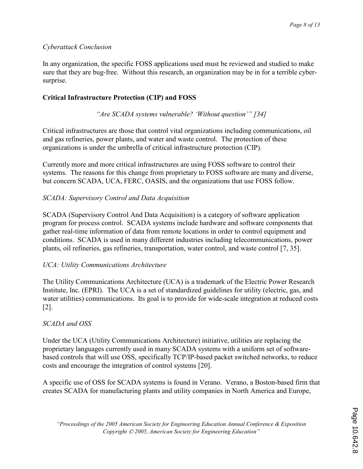# Cyberattack Conclusion

In any organization, the specific FOSS applications used must be reviewed and studied to make sure that they are bug-free. Without this research, an organization may be in for a terrible cybersurprise.

# Critical Infrastructure Protection (CIP) and FOSS

"Are SCADA systems vulnerable? 'Without question'" [34]

Critical infrastructures are those that control vital organizations including communications, oil and gas refineries, power plants, and water and waste control. The protection of these organizations is under the umbrella of critical infrastructure protection (CIP).

Currently more and more critical infrastructures are using FOSS software to control their systems. The reasons for this change from proprietary to FOSS software are many and diverse, but concern SCADA, UCA, FERC, OASIS, and the organizations that use FOSS follow.

# SCADA: Supervisory Control and Data Acquisition

SCADA (Supervisory Control And Data Acquisition) is a category of software application program for process control. SCADA systems include hardware and software components that gather real-time information of data from remote locations in order to control equipment and conditions. SCADA is used in many different industries including telecommunications, power plants, oil refineries, gas refineries, transportation, water control, and waste control [7, 35].

#### UCA: Utility Communications Architecture

The Utility Communications Architecture (UCA) is a trademark of the Electric Power Research Institute, Inc. (EPRI). The UCA is a set of standardized guidelines for utility (electric, gas, and water utilities) communications. Its goal is to provide for wide-scale integration at reduced costs [2].

# SCADA and OSS

Under the UCA (Utility Communications Architecture) initiative, utilities are replacing the proprietary languages currently used in many SCADA systems with a uniform set of softwarebased controls that will use OSS, specifically TCP/IP-based packet switched networks, to reduce costs and encourage the integration of control systems [20].

A specific use of OSS for SCADA systems is found in Verano. Verano, a Boston-based firm that creates SCADA for manufacturing plants and utility companies in North America and Europe,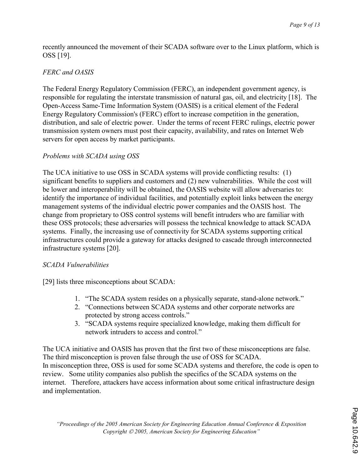recently announced the movement of their SCADA software over to the Linux platform, which is OSS [19].

# FERC and OASIS

The Federal Energy Regulatory Commission (FERC), an independent government agency, is responsible for regulating the interstate transmission of natural gas, oil, and electricity [18]. The Open-Access Same-Time Information System (OASIS) is a critical element of the Federal Energy Regulatory Commission's (FERC) effort to increase competition in the generation, distribution, and sale of electric power. Under the terms of recent FERC rulings, electric power transmission system owners must post their capacity, availability, and rates on Internet Web servers for open access by market participants.

### Problems with SCADA using OSS

The UCA initiative to use OSS in SCADA systems will provide conflicting results: (1) significant benefits to suppliers and customers and (2) new vulnerabilities. While the cost will be lower and interoperability will be obtained, the OASIS website will allow adversaries to: identify the importance of individual facilities, and potentially exploit links between the energy management systems of the individual electric power companies and the OASIS host. The change from proprietary to OSS control systems will benefit intruders who are familiar with these OSS protocols; these adversaries will possess the technical knowledge to attack SCADA systems. Finally, the increasing use of connectivity for SCADA systems supporting critical infrastructures could provide a gateway for attacks designed to cascade through interconnected infrastructure systems [20].

# SCADA Vulnerabilities

[29] lists three misconceptions about SCADA:

- 1. "The SCADA system resides on a physically separate, stand-alone network."
- 2. "Connections between SCADA systems and other corporate networks are protected by strong access controls."
- 3. "SCADA systems require specialized knowledge, making them difficult for network intruders to access and control."

The UCA initiative and OASIS has proven that the first two of these misconceptions are false. The third misconception is proven false through the use of OSS for SCADA. In misconception three, OSS is used for some SCADA systems and therefore, the code is open to review. Some utility companies also publish the specifics of the SCADA systems on the internet. Therefore, attackers have access information about some critical infrastructure design and implementation.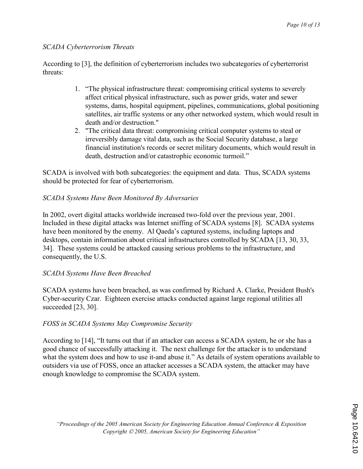### SCADA Cyberterrorism Threats

According to [3], the definition of cyberterrorism includes two subcategories of cyberterrorist threats:

- 1. "The physical infrastructure threat: compromising critical systems to severely affect critical physical infrastructure, such as power grids, water and sewer systems, dams, hospital equipment, pipelines, communications, global positioning satellites, air traffic systems or any other networked system, which would result in death and/or destruction."
- 2. "The critical data threat: compromising critical computer systems to steal or irreversibly damage vital data, such as the Social Security database, a large financial institution's records or secret military documents, which would result in death, destruction and/or catastrophic economic turmoil."

SCADA is involved with both subcategories: the equipment and data. Thus, SCADA systems should be protected for fear of cyberterrorism.

# SCADA Systems Have Been Monitored By Adversaries

In 2002, overt digital attacks worldwide increased two-fold over the previous year, 2001. Included in these digital attacks was Internet sniffing of SCADA systems [8]. SCADA systems have been monitored by the enemy. Al Qaeda's captured systems, including laptops and desktops, contain information about critical infrastructures controlled by SCADA [13, 30, 33, 34]. These systems could be attacked causing serious problems to the infrastructure, and consequently, the U.S.

# SCADA Systems Have Been Breached

SCADA systems have been breached, as was confirmed by Richard A. Clarke, President Bush's Cyber-security Czar. Eighteen exercise attacks conducted against large regional utilities all succeeded [23, 30].

# FOSS in SCADA Systems May Compromise Security

According to [14], "It turns out that if an attacker can access a SCADA system, he or she has a good chance of successfully attacking it. The next challenge for the attacker is to understand what the system does and how to use it-and abuse it." As details of system operations available to outsiders via use of FOSS, once an attacker accesses a SCADA system, the attacker may have enough knowledge to compromise the SCADA system.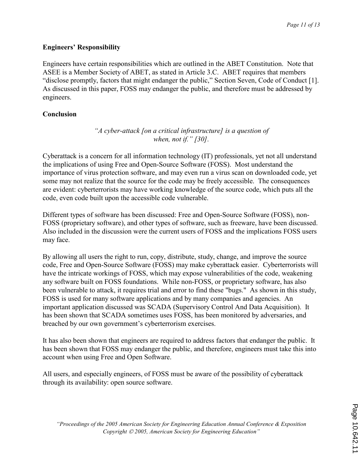### Engineers' Responsibility

Engineers have certain responsibilities which are outlined in the ABET Constitution. Note that ASEE is a Member Society of ABET, as stated in Article 3.C. ABET requires that members "disclose promptly, factors that might endanger the public," Section Seven, Code of Conduct [1]. As discussed in this paper, FOSS may endanger the public, and therefore must be addressed by engineers.

### Conclusion

"A cyber-attack [on a critical infrastructure] is a question of when, not if." [30].

Cyberattack is a concern for all information technology (IT) professionals, yet not all understand the implications of using Free and Open-Source Software (FOSS). Most understand the importance of virus protection software, and may even run a virus scan on downloaded code, yet some may not realize that the source for the code may be freely accessible. The consequences are evident: cyberterrorists may have working knowledge of the source code, which puts all the code, even code built upon the accessible code vulnerable.

Different types of software has been discussed: Free and Open-Source Software (FOSS), non-FOSS (proprietary software), and other types of software, such as freeware, have been discussed. Also included in the discussion were the current users of FOSS and the implications FOSS users may face.

By allowing all users the right to run, copy, distribute, study, change, and improve the source code, Free and Open-Source Software (FOSS) may make cyberattack easier. Cyberterrorists will have the intricate workings of FOSS, which may expose vulnerabilities of the code, weakening any software built on FOSS foundations. While non-FOSS, or proprietary software, has also been vulnerable to attack, it requires trial and error to find these "bugs." As shown in this study, FOSS is used for many software applications and by many companies and agencies. An important application discussed was SCADA (Supervisory Control And Data Acquisition). It has been shown that SCADA sometimes uses FOSS, has been monitored by adversaries, and breached by our own government's cyberterrorism exercises.

It has also been shown that engineers are required to address factors that endanger the public. It has been shown that FOSS may endanger the public, and therefore, engineers must take this into account when using Free and Open Software.

All users, and especially engineers, of FOSS must be aware of the possibility of cyberattack through its availability: open source software.

"Proceedings of the 2005 American Society for Engineering Education Annual Conference & Exposition Copyright  $\odot$  2005, American Society for Engineering Education"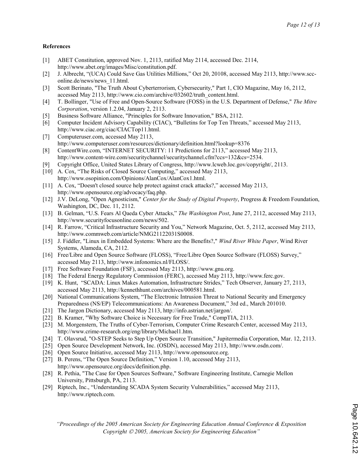#### References

- [1] ABET Constitution, approved Nov. 1, 2113, ratified May 2114, accessed Dec. 2114, http://www.abet.org/images/Misc/constitution.pdf.
- [2] J. Albrecht, "(UCA) Could Save Gas Utilities Millions," Oct 20, 20108, accessed May 2113, http://www.scconline.de/news/news\_11.html.
- [3] Scott Berinato, "The Truth About Cyberterrorism, Cybersecurity," Part 1, CIO Magazine, May 16, 2112, accessed May 2113, http://www.cio.com/archive/032602/truth\_content.html.
- [4] T. Bollinger, "Use of Free and Open-Source Software (FOSS) in the U.S. Department of Defense," The Mitre Corporation, version 1.2.04, January 2, 2113.
- [5] Business Software Alliance, "Principles for Software Innovation," BSA, 2112.
- [6] Computer Incident Advisory Capability (CIAC), "Bulletins for Top Ten Threats," accessed May 2113, http://www.ciac.org/ciac/CIACTop11.html.
- [7] Computeruser.com, accessed May 2113, http://www.computeruser.com/resources/dictionary/definition.html?lookup=8376
- [8] ContentWire.com, "INTERNET SECURITY: 11 Predictions for 2113," accessed May 2113, http://www.content-wire.com/securitychannel/securitychannel.cfm?ccs=132&cs=2534.
- [9] Copyright Office, United States Library of Congress, http://www.lcweb.loc.gov/copyright/, 2113.
- [10] A. Cox, "The Risks of Closed Source Computing," accessed May 2113, http://www.osopinion.com/Opinions/AlanCox/AlanCox1.html.
- [11] A. Cox, "Doesn't closed source help protect against crack attacks?," accessed May 2113, http://www.opensource.org/advocacy/faq.php.
- [12] J.V. DeLong, "Open Agnosticism," Center for the Study of Digital Property, Progress & Freedom Foundation, Washington, DC, Dec. 11, 2112.
- [13] B. Gelman, "U.S. Fears Al Qaeda Cyber Attacks," The Washington Post, June 27, 2112, accessed May 2113, http://www.securityfocusonline.com/news/502.
- [14] R. Farrow, "Critical Infrastructure Security and You," Network Magazine, Oct. 5, 2112, accessed May 2113, http://www.commweb.com/article/NMG21122031S0008.
- [15] J. Fiddler, "Linux in Embedded Systems: Where are the Benefits?," Wind River White Paper, Wind River Systems, Alameda, CA, 2112.
- [16] Free/Libre and Open Source Software (FLOSS), "Free/Libre Open Source Software (FLOSS) Survey," accessed May 2113, http://www.infonomics.nl/FLOSS/.
- [17] Free Software Foundation (FSF), accessed May 2113, http://www.gnu.org.
- [18] The Federal Energy Regulatory Commission (FERC), accessed May 2113, http://www.ferc.gov.
- [19] K. Hunt, "SCADA: Linux Makes Automation, Infrastructure Strides," Tech Observer, January 27, 2113, accessed May 2113, http://kennethhunt.com/archives/000581.html.
- [20] National Communications System, "The Electronic Intrusion Threat to National Security and Emergency Preparedness (NS/EP) Telecommunications: An Awareness Document," 3rd ed., March 201010.
- [21] The Jargon Dictionary, accessed May 2113, http://info.astrian.net/jargon/.
- [22] B. Kramer, "Why Software Choice is Necessary for Free Trade," CompTIA, 2113.
- [23] M. Morgenstern, The Truths of Cyber-Terrorism, Computer Crime Research Center, accessed May 2113, http://www.crime-research.org/eng/library/Michael1.htm.
- [24] T. Olavsrud, "O-STEP Seeks to Step Up Open Source Transition," Jupitermedia Corporation, Mar. 12, 2113.
- [25] Open Source Development Network, Inc. (OSDN), accessed May 2113, http://www.osdn.com/.
- [26] Open Source Initiative, accessed May 2113, http://www.opensource.org.
- [27] B. Perens, "The Open Source Definition," Version 1.10, accessed May 2113, http://www.opensource.org/docs/definition.php.
- [28] R. Pethia, "The Case for Open Sources Software," Software Engineering Institute, Carnegie Mellon University, Pittsburgh, PA, 2113.
- [29] Riptech, Inc., "Understanding SCADA System Security Vulnerabilities," accessed May 2113, http://www.riptech.com.

"Proceedings of the 2005 American Society for Engineering Education Annual Conference & Exposition Copyright  $\odot$  2005, American Society for Engineering Education"